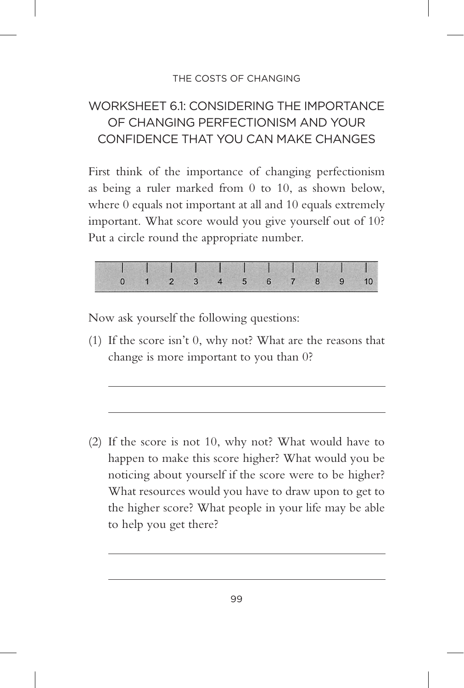## WORKSHEET 61: CONSIDERING THE IMPORTANCE OF CHANGING PERFECTIONISM AND YOUR CONFIDENCE THAT YOU CAN MAKE CHANGES

First think of the importance of changing perfectionism as being a ruler marked from 0 to 10, as shown below, where 0 equals not important at all and 10 equals extremely important. What score would you give yourself out of 10? Put a circle round the appropriate number.



Now ask yourself the following questions:

(1) If the score isn't 0, why not? What are the reasons that change is more important to you than 0?

(2) If the score is not 10, why not? What would have to happen to make this score higher? What would you be noticing about yourself if the score were to be higher? What resources would you have to draw upon to get to the higher score? What people in your life may be able to help you get there?